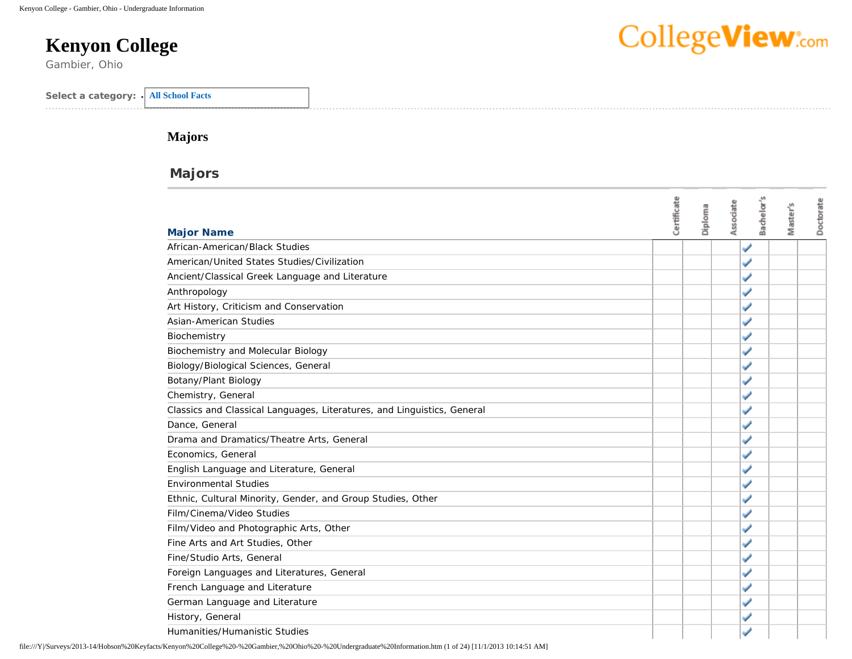# **Kenyon College**

Gambier, Ohio

# CollegeView:com

| Select a category:<br><b>All School Facts</b> |
|-----------------------------------------------|
|-----------------------------------------------|

#### **Majors**

#### **Majors**

| <b>Major Name</b>                                                       | Certificate | Diploma | Bachelor's<br>Associate | Master's | Doctorate |
|-------------------------------------------------------------------------|-------------|---------|-------------------------|----------|-----------|
| African-American/Black Studies                                          |             |         |                         |          |           |
| American/United States Studies/Civilization                             |             |         |                         |          |           |
| Ancient/Classical Greek Language and Literature                         |             |         |                         |          |           |
| Anthropology                                                            |             |         |                         |          |           |
| Art History, Criticism and Conservation                                 |             |         |                         |          |           |
| Asian-American Studies                                                  |             |         |                         |          |           |
| Biochemistry                                                            |             |         |                         |          |           |
| Biochemistry and Molecular Biology                                      |             |         |                         |          |           |
| Biology/Biological Sciences, General                                    |             |         |                         |          |           |
| Botany/Plant Biology                                                    |             |         |                         |          |           |
| Chemistry, General                                                      |             |         |                         |          |           |
| Classics and Classical Languages, Literatures, and Linguistics, General |             |         |                         |          |           |
| Dance, General                                                          |             |         |                         |          |           |
| Drama and Dramatics/Theatre Arts, General                               |             |         |                         |          |           |
| Economics, General                                                      |             |         |                         |          |           |
| English Language and Literature, General                                |             |         |                         |          |           |
| <b>Environmental Studies</b>                                            |             |         |                         |          |           |
| Ethnic, Cultural Minority, Gender, and Group Studies, Other             |             |         |                         |          |           |
| Film/Cinema/Video Studies                                               |             |         |                         |          |           |
| Film/Video and Photographic Arts, Other                                 |             |         |                         |          |           |
| Fine Arts and Art Studies, Other                                        |             |         |                         |          |           |
| Fine/Studio Arts, General                                               |             |         |                         |          |           |
| Foreign Languages and Literatures, General                              |             |         |                         |          |           |
| French Language and Literature                                          |             |         |                         |          |           |
| German Language and Literature                                          |             |         |                         |          |           |
| History, General                                                        |             |         |                         |          |           |
| Humanities/Humanistic Studies                                           |             |         |                         |          |           |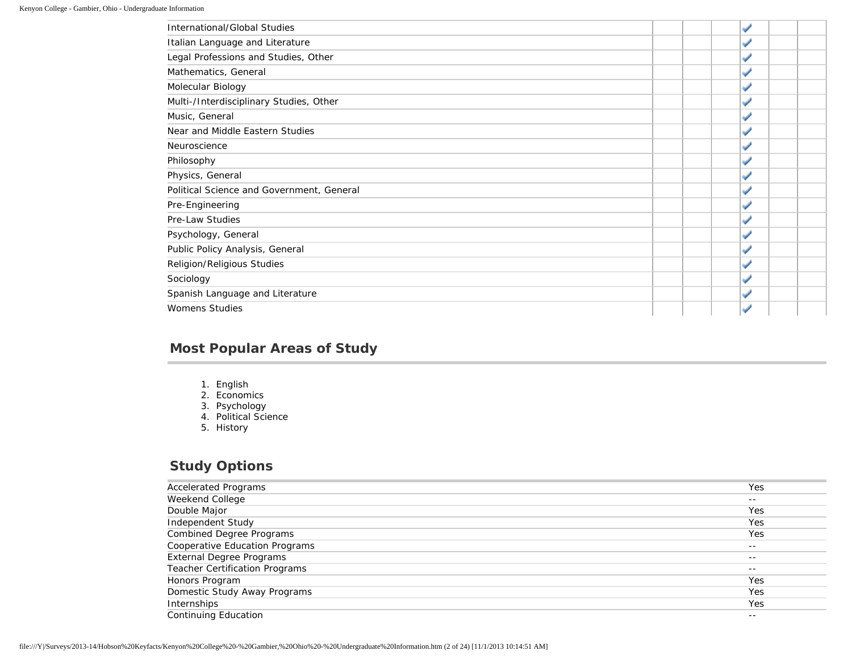## **Most Popular Areas of Study**

- 1. English
- 2. Economics
- 3. Psychology
- 4. Political Science
- 5. History

#### **Study Options**

| <b>Accelerated Programs</b>     | Yes   |
|---------------------------------|-------|
| Weekend College                 | $ -$  |
| Double Major                    | Yes   |
| Independent Study               | Yes   |
| <b>Combined Degree Programs</b> | Yes   |
| Cooperative Education Programs  | $- -$ |
| <b>External Degree Programs</b> | $ -$  |
| Teacher Certification Programs  | $ -$  |
| Honors Program                  | Yes   |
| Domestic Study Away Programs    | Yes   |
| Internships                     | Yes   |
| <b>Continuing Education</b>     | $ -$  |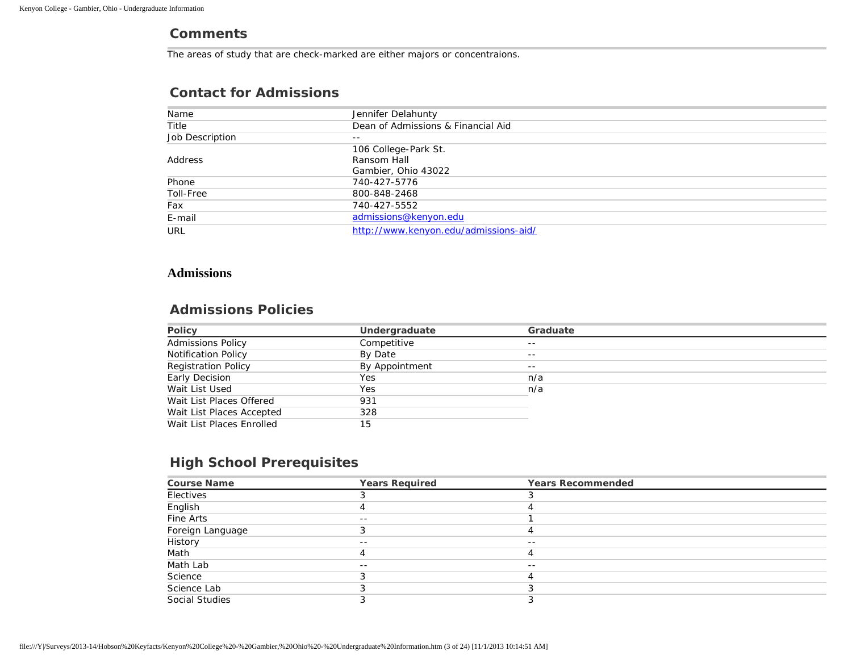#### **Comments**

The areas of study that are check-marked are either majors or concentraions.

#### Name **Name** Jennifer Delahunty Title Dean of Admissions & Financial Aid Job Description **--**Address 106 College-Park St. Ransom Hall Gambier, Ohio 43022 Phone 740-427-5776 Toll-Free 800-848-2468 Fax 740-427-5552 E-mail [admissions@kenyon.edu](mailto:admissions@kenyon.edu) URL <http://www.kenyon.edu/admissions-aid/>

#### **Contact for Admissions**

#### **Admissions**

#### **Admissions Policies**

| <b>Policy</b>              | Undergraduate  | Graduate |
|----------------------------|----------------|----------|
| <b>Admissions Policy</b>   | Competitive    | $- -$    |
| <b>Notification Policy</b> | By Date        | $- -$    |
| <b>Registration Policy</b> | By Appointment | $- -$    |
| Early Decision             | Yes            | n/a      |
| Wait List Used             | Yes            | n/a      |
| Wait List Places Offered   | 931            |          |
| Wait List Places Accepted  | 328            |          |
| Wait List Places Enrolled  | 15             |          |

#### **High School Prerequisites**

| <b>Course Name</b>    | <b>Years Required</b> | <b>Years Recommended</b> |  |
|-----------------------|-----------------------|--------------------------|--|
| Electives             |                       |                          |  |
| English               |                       |                          |  |
| Fine Arts             | $- -$                 |                          |  |
| Foreign Language      |                       |                          |  |
| History               | $ -$                  | $- -$                    |  |
| Math                  |                       |                          |  |
| Math Lab              | $ -$                  | $- -$                    |  |
| Science               |                       |                          |  |
| Science Lab           |                       |                          |  |
| <b>Social Studies</b> |                       |                          |  |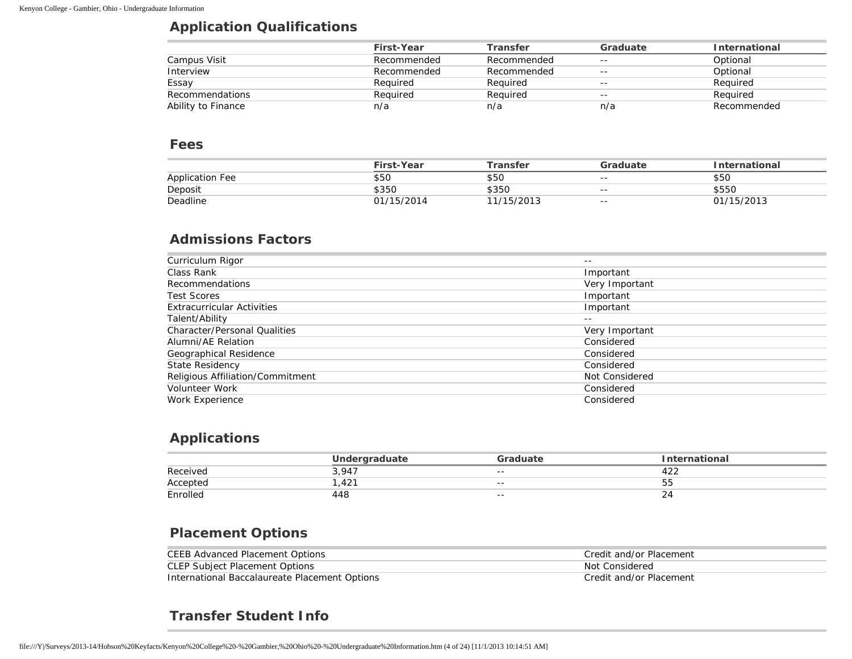#### **Application Qualifications**

|                    | First-Year  | Transfer    | Graduate | <b>International</b> |
|--------------------|-------------|-------------|----------|----------------------|
| Campus Visit       | Recommended | Recommended | $- -$    | Optional             |
| Interview          | Recommended | Recommended | $- -$    | Optional             |
| Essay              | Reguired    | Reguired    | $- -$    | Required             |
| Recommendations    | Reguired    | Reguired    | $- -$    | Required             |
| Ability to Finance | n/a         | n/a         | n/a      | Recommended          |

#### **Fees**

|                        | First-Year | <sup>-</sup> ransfer | Graduate | <b>International</b> |
|------------------------|------------|----------------------|----------|----------------------|
| <b>Application Fee</b> | \$50       | \$50                 | $- -$    | \$50                 |
| Deposit                | \$350      | \$350                | $- -$    | \$550                |
| Deadline               | 01/15/2014 | 11/15/2013           | $- -$    | 01/15/2013           |

## **Admissions Factors**

| Curriculum Rigor                    | $- -$          |
|-------------------------------------|----------------|
| Class Rank                          | Important      |
| Recommendations                     | Very Important |
| <b>Test Scores</b>                  | Important      |
| <b>Extracurricular Activities</b>   | Important      |
| Talent/Ability                      | $- -$          |
| <b>Character/Personal Qualities</b> | Very Important |
| Alumni/AE Relation                  | Considered     |
| Geographical Residence              | Considered     |
| State Residency                     | Considered     |
| Religious Affiliation/Commitment    | Not Considered |
| Volunteer Work                      | Considered     |
| Work Experience                     | Considered     |
|                                     |                |

#### **Applications**

|          | Underaraduate | Graduate | าternational |
|----------|---------------|----------|--------------|
| Received | 3,947         | $- -$    | 1 ລລ<br>422  |
| Accepted | ,421          | $- -$    | 55           |
| Enrolled | 448           | $- -$    | <u>_</u>     |

## **Placement Options**

| CEEB Advanced Placement Options               | Credit and/or Placement |
|-----------------------------------------------|-------------------------|
| CLEP Subject Placement Options                | Not Considered          |
| International Baccalaureate Placement Options | Credit and/or Placement |

# **Transfer Student Info**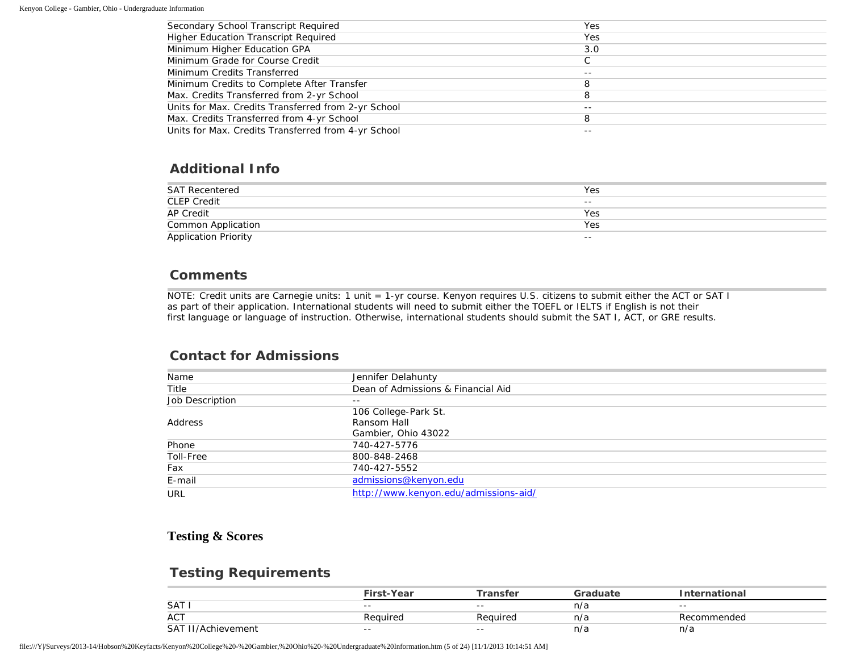| Secondary School Transcript Required                | Yes   |
|-----------------------------------------------------|-------|
| Higher Education Transcript Required                | Yes   |
| Minimum Higher Education GPA                        | 3.0   |
| Minimum Grade for Course Credit                     |       |
| Minimum Credits Transferred                         | $- -$ |
| Minimum Credits to Complete After Transfer          | 8     |
| Max. Credits Transferred from 2-yr School           | 8     |
| Units for Max. Credits Transferred from 2-yr School | $- -$ |
| Max. Credits Transferred from 4-yr School           | 8     |
| Units for Max. Credits Transferred from 4-yr School |       |
|                                                     |       |

#### **Additional Info**

| <b>SAT Recentered</b>                      | Yes   |
|--------------------------------------------|-------|
| <b>CLEP Credit</b>                         | $- -$ |
| <b>AP Credit</b>                           | Yes   |
|                                            | Yes   |
| Common Application<br>Application Priority | $- -$ |

#### **Comments**

NOTE: Credit units are Carnegie units: 1 unit = 1-yr course. Kenyon requires U.S. citizens to submit either the ACT or SAT I as part of their application. International students will need to submit either the TOEFL or IELTS if English is not their first language or language of instruction. Otherwise, international students should submit the SAT I, ACT, or GRE results.

#### **Contact for Admissions**

| Name            | Jennifer Delahunty                    |
|-----------------|---------------------------------------|
| Title           | Dean of Admissions & Financial Aid    |
| Job Description | $- -$                                 |
|                 | 106 College-Park St.                  |
| Address         | Ransom Hall                           |
|                 | Gambier, Ohio 43022                   |
| Phone           | 740-427-5776                          |
| Toll-Free       | 800-848-2468                          |
| Fax             | 740-427-5552                          |
| E-mail          | admissions@kenyon.edu                 |
| URL             | http://www.kenyon.edu/admissions-aid/ |

#### **Testing & Scores**

#### **Testing Requirements**

|                            | <sup>ऽ</sup> irst-Year | `ransfer | iraduato | arnational: |
|----------------------------|------------------------|----------|----------|-------------|
| <b>SAT</b>                 | $- -$                  | $- -$    | n/a      | $- -$       |
| <b>ACT</b>                 | Reauired               | Reauirea | n/a      | Recommended |
| <b>SAT</b><br>/Achievement | $- -$                  | $- -$    | n/a      | n/a         |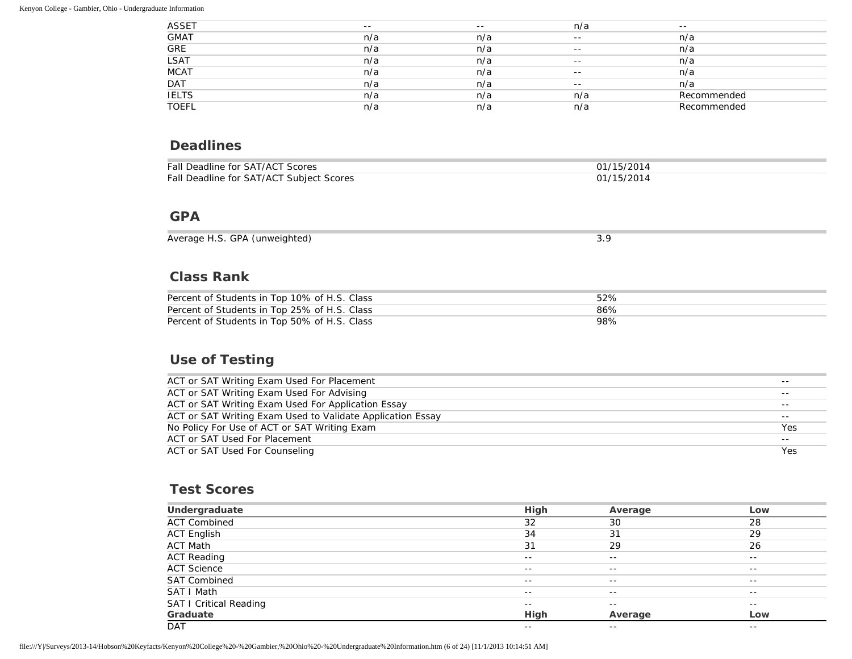| <b>ASSET</b> | $- -$ | $- -$ | n/a   | $- -$       |
|--------------|-------|-------|-------|-------------|
| <b>GMAT</b>  | n/a   | n/a   | $- -$ | n/a         |
| GRE          | n/a   | n/a   | $- -$ | n/a         |
| <b>LSAT</b>  | n/a   | n/a   | $- -$ | n/a         |
| <b>MCAT</b>  | n/a   | n/a   | $- -$ | n/a         |
| <b>DAT</b>   | n/a   | n/a   | $- -$ | n/a         |
| <b>IELTS</b> | n/a   | n/a   | n/a   | Recommended |
| <b>TOEFL</b> | n/a   | n/a   | n/a   | Recommended |

#### **Deadlines**

| Fall Deadline for SAT/ACT Scores         | 01/15/2014 |
|------------------------------------------|------------|
| Fall Deadline for SAT/ACT Subject Scores | 01/15/2014 |

#### **GPA**

| GPA<br>(unweighted)<br>Average H.S.<br>$\sim$ |  |
|-----------------------------------------------|--|

## **Class Rank**

| Percent of Students in Top 10% of H.S. Class | 52% |
|----------------------------------------------|-----|
| Percent of Students in Top 25% of H.S. Class | 86% |
| Percent of Students in Top 50% of H.S. Class | 98% |

## **Use of Testing**

| ACT or SAT Writing Exam Used For Placement                 | $- -$ |
|------------------------------------------------------------|-------|
| ACT or SAT Writing Exam Used For Advising                  | $- -$ |
| ACT or SAT Writing Exam Used For Application Essay         | $- -$ |
| ACT or SAT Writing Exam Used to Validate Application Essay | $- -$ |
| No Policy For Use of ACT or SAT Writing Exam               | Yes   |
| ACT or SAT Used For Placement                              | $- -$ |
| ACT or SAT Used For Counseling                             | Yes   |
|                                                            |       |

#### **Test Scores**

| Undergraduate                 | High  | Average           | Low   |
|-------------------------------|-------|-------------------|-------|
| <b>ACT Combined</b>           | 32    | 30                | 28    |
| <b>ACT English</b>            | 34    | 31                | 29    |
| <b>ACT Math</b>               | 31    | 29                | 26    |
| <b>ACT Reading</b>            | $- -$ | $- -$             | $- -$ |
| <b>ACT Science</b>            | $- -$ | $- -$             | $- -$ |
| <b>SAT Combined</b>           | $- -$ | $\qquad \qquad -$ | $- -$ |
| SAT I Math                    | $- -$ | $- -$             | $- -$ |
| <b>SAT I Critical Reading</b> | $- -$ | $- -$             | $- -$ |
| Graduate                      | High  | Average           | Low   |
| <b>DAT</b>                    | $- -$ | $- -$             | $- -$ |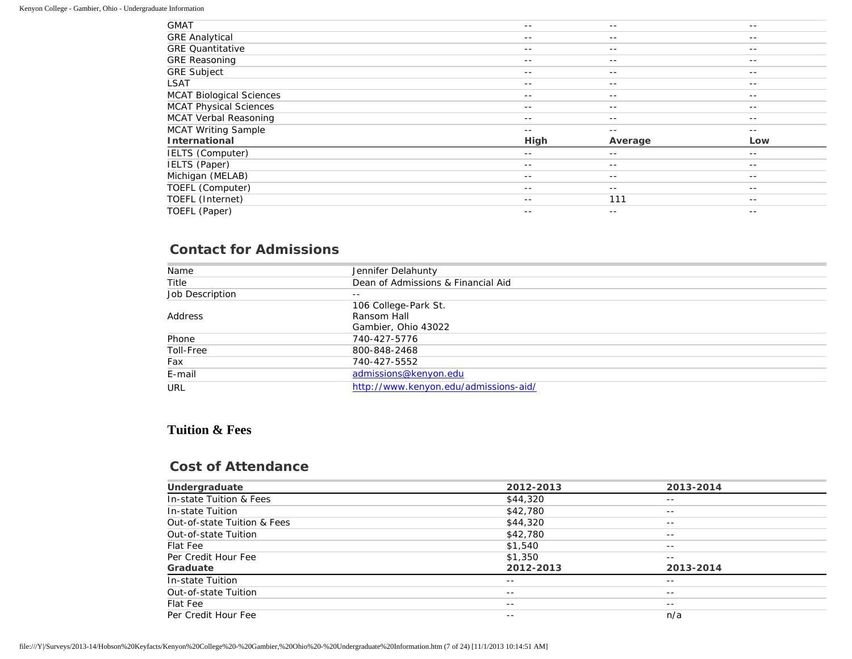| <b>GMAT</b>                     | $- -$ | $- -$   | $- -$ |
|---------------------------------|-------|---------|-------|
| <b>GRE Analytical</b>           | $- -$ | $- -$   | $- -$ |
| <b>GRE Quantitative</b>         | $- -$ | $- -$   | $- -$ |
| <b>GRE Reasoning</b>            | $- -$ | $- -$   | $- -$ |
| <b>GRE Subject</b>              | $- -$ | $- -$   | $- -$ |
| LSAT                            | $- -$ | $- -$   | $- -$ |
| <b>MCAT Biological Sciences</b> | $- -$ | $- -$   | $- -$ |
| <b>MCAT Physical Sciences</b>   | $- -$ | $- -$   | $- -$ |
| <b>MCAT Verbal Reasoning</b>    | $- -$ | $- -$   | $- -$ |
| <b>MCAT Writing Sample</b>      | $- -$ | $- -$   | $- -$ |
| International                   | High  | Average | Low   |
| IELTS (Computer)                | $- -$ | $- -$   | $- -$ |
| IELTS (Paper)                   |       |         |       |
|                                 | $- -$ | $- -$   | $- -$ |
| Michigan (MELAB)                | $- -$ | $- -$   | $- -$ |
| TOEFL (Computer)                | $- -$ | $- -$   | $ -$  |
| TOEFL (Internet)                | $- -$ | 111     | $- -$ |

# **Contact for Admissions**

| Name            | Jennifer Delahunty                    |
|-----------------|---------------------------------------|
| Title           | Dean of Admissions & Financial Aid    |
| Job Description | $- -$                                 |
|                 | 106 College-Park St.                  |
| Address         | Ransom Hall                           |
|                 | Gambier, Ohio 43022                   |
| Phone           | 740-427-5776                          |
| Toll-Free       | 800-848-2468                          |
| Fax             | 740-427-5552                          |
| E-mail          | admissions@kenyon.edu                 |
| URL             | http://www.kenyon.edu/admissions-aid/ |

### **Tuition & Fees**

#### **Cost of Attendance**

| Undergraduate               | 2012-2013 | 2013-2014 |
|-----------------------------|-----------|-----------|
| In-state Tuition & Fees     | \$44,320  | $- -$     |
| In-state Tuition            | \$42,780  | $- -$     |
| Out-of-state Tuition & Fees | \$44,320  | $- -$     |
| Out-of-state Tuition        | \$42,780  | $- -$     |
| Flat Fee                    | \$1,540   | $- -$     |
| Per Credit Hour Fee         | \$1,350   | $- -$     |
| Graduate                    | 2012-2013 | 2013-2014 |
| In-state Tuition            | $- -$     | $- -$     |
| Out-of-state Tuition        | $- -$     | $- -$     |
| Flat Fee                    | $- -$     | $- -$     |
| Per Credit Hour Fee         | $- -$     | n/a       |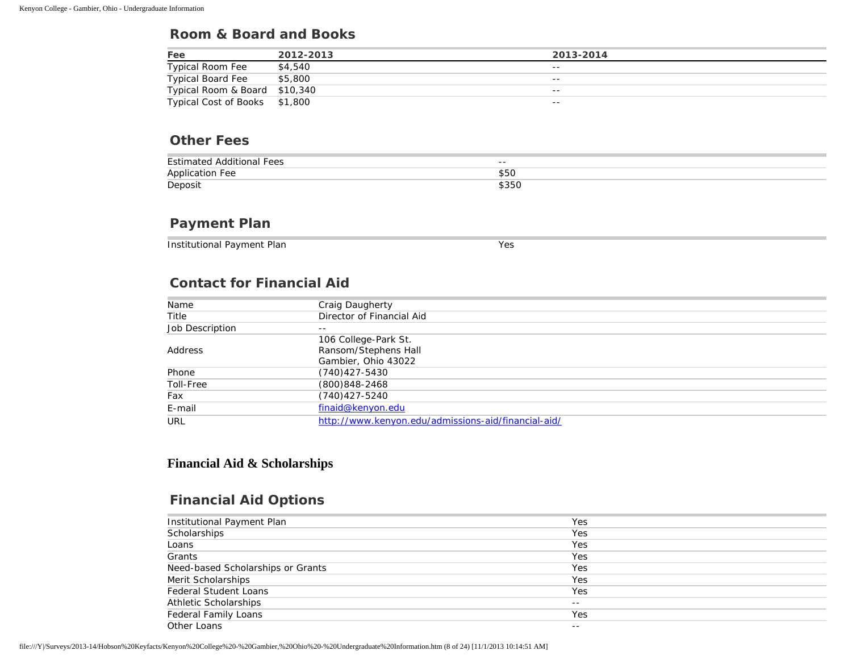#### **Room & Board and Books**

| Fee                           | 2012-2013 | 2013-2014 |
|-------------------------------|-----------|-----------|
| <b>Typical Room Fee</b>       | \$4,540   | $- -$     |
| <b>Typical Board Fee</b>      | \$5,800   | $- -$     |
| Typical Room & Board \$10,340 |           | $- -$     |
| Typical Cost of Books \$1,800 |           | $- -$     |

#### **Other Fees**

| <b>Estimated Additional Fees</b> | $- -$<br>$ -$ |
|----------------------------------|---------------|
| <b>Application Fee</b>           | \$5C          |
| Deposit                          | \$35C         |

#### **Payment Plan**

Institutional Payment Plan Yes

## **Contact for Financial Aid**

| Name            | Craig Daugherty                                     |
|-----------------|-----------------------------------------------------|
| Title           | Director of Financial Aid                           |
| Job Description | $- -$                                               |
|                 | 106 College-Park St.                                |
| Address         | Ransom/Stephens Hall                                |
|                 | Gambier, Ohio 43022                                 |
| Phone           | $(740)427 - 5430$                                   |
| Toll-Free       | $(800)848 - 2468$                                   |
| Fax             | $(740)427 - 5240$                                   |
| E-mail          | finaid@kenyon.edu                                   |
| URL             | http://www.kenyon.edu/admissions-aid/financial-aid/ |

#### **Financial Aid & Scholarships**

#### **Financial Aid Options**

| Institutional Payment Plan        | Yes   |
|-----------------------------------|-------|
| Scholarships                      | Yes   |
| Loans                             | Yes   |
| Grants                            | Yes   |
| Need-based Scholarships or Grants | Yes   |
| Merit Scholarships                | Yes   |
| <b>Federal Student Loans</b>      | Yes   |
| <b>Athletic Scholarships</b>      | $- -$ |
| <b>Federal Family Loans</b>       | Yes   |
| Other Loans                       | $- -$ |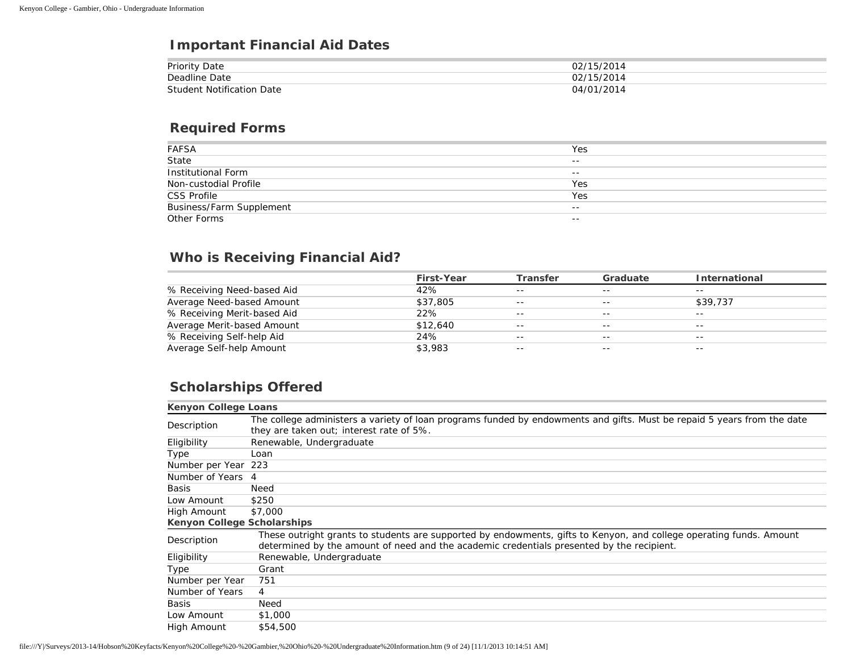## **Important Financial Aid Dates**

| <b>Priority Date</b>             | 02/15/2014 |
|----------------------------------|------------|
| Deadline Date                    | 02/15/2014 |
| <b>Student Notification Date</b> | 04/01/2014 |

#### **Required Forms**

| FAFSA<br>State                  | Yes   |
|---------------------------------|-------|
|                                 | $- -$ |
| <b>Institutional Form</b>       | $- -$ |
| Non-custodial Profile           | Yes   |
| <b>CSS Profile</b>              | Yes   |
| <b>Business/Farm Supplement</b> | $- -$ |
| Other Forms                     | $- -$ |

## **Who is Receiving Financial Aid?**

|                             | <b>First-Year</b> | <b>Transfer</b> | Graduate | <b>International</b> |
|-----------------------------|-------------------|-----------------|----------|----------------------|
| % Receiving Need-based Aid  | 42%               | $- -$           | $- -$    | $- -$                |
| Average Need-based Amount   | \$37,805          | $- -$           | $- -$    | \$39,737             |
| % Receiving Merit-based Aid | 22%               | $- -$           | $- -$    | $- -$                |
| Average Merit-based Amount  | \$12,640          | $- -$           | $- -$    | $- -$                |
| % Receiving Self-help Aid   | 24%               | $- -$           | $- -$    | $- -$                |
| Average Self-help Amount    | \$3,983           | $- -$           | $- -$    | $ -$                 |

# **Scholarships Offered**

| Kenyon College Loans        |                                                                                                                                                                                                                  |
|-----------------------------|------------------------------------------------------------------------------------------------------------------------------------------------------------------------------------------------------------------|
| Description                 | The college administers a variety of loan programs funded by endowments and gifts. Must be repaid 5 years from the date<br>they are taken out; interest rate of 5%.                                              |
| Eligibility                 | Renewable, Undergraduate                                                                                                                                                                                         |
| Type                        | Loan                                                                                                                                                                                                             |
| Number per Year 223         |                                                                                                                                                                                                                  |
| Number of Years             | 4                                                                                                                                                                                                                |
| Basis                       | Need                                                                                                                                                                                                             |
| Low Amount                  | \$250                                                                                                                                                                                                            |
| High Amount                 | \$7,000                                                                                                                                                                                                          |
| Kenyon College Scholarships |                                                                                                                                                                                                                  |
| Description                 | These outright grants to students are supported by endowments, gifts to Kenyon, and college operating funds. Amount<br>determined by the amount of need and the academic credentials presented by the recipient. |
| Eligibility                 | Renewable, Undergraduate                                                                                                                                                                                         |
| Type                        | Grant                                                                                                                                                                                                            |
| Number per Year             | 751                                                                                                                                                                                                              |
| Number of Years             | 4                                                                                                                                                                                                                |
| <b>Basis</b>                | Need                                                                                                                                                                                                             |
| Low Amount                  | \$1,000                                                                                                                                                                                                          |
| High Amount                 | \$54,500                                                                                                                                                                                                         |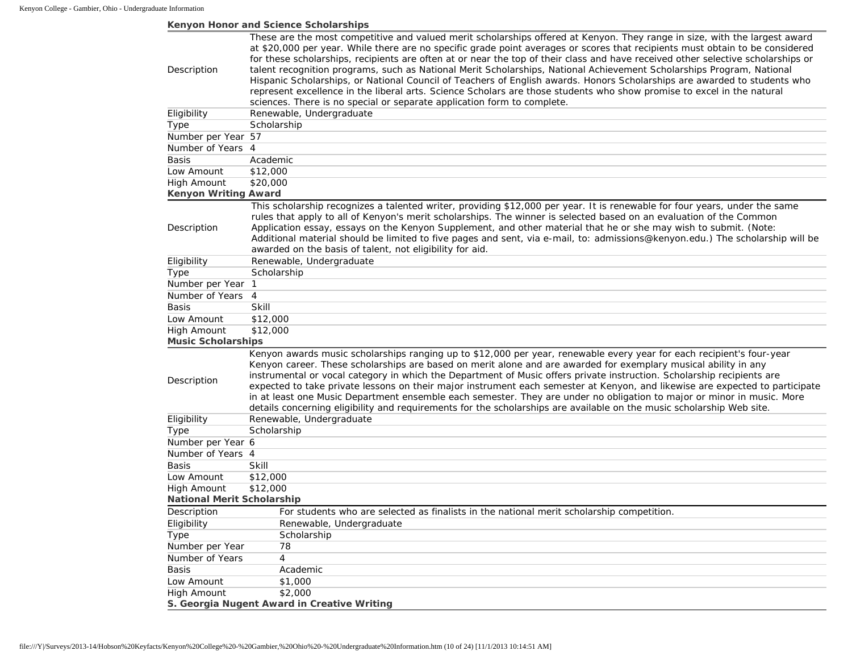#### **Kenyon Honor and Science Scholarships**

|                                   | These are the most competitive and valued merit scholarships offered at Kenyon. They range in size, with the largest award                                                                                                                                                                                                                                                                                                                                                                                                                                                                                                                                                                                                                            |
|-----------------------------------|-------------------------------------------------------------------------------------------------------------------------------------------------------------------------------------------------------------------------------------------------------------------------------------------------------------------------------------------------------------------------------------------------------------------------------------------------------------------------------------------------------------------------------------------------------------------------------------------------------------------------------------------------------------------------------------------------------------------------------------------------------|
|                                   | at \$20,000 per year. While there are no specific grade point averages or scores that recipients must obtain to be considered                                                                                                                                                                                                                                                                                                                                                                                                                                                                                                                                                                                                                         |
|                                   | for these scholarships, recipients are often at or near the top of their class and have received other selective scholarships or                                                                                                                                                                                                                                                                                                                                                                                                                                                                                                                                                                                                                      |
| Description                       | talent recognition programs, such as National Merit Scholarships, National Achievement Scholarships Program, National                                                                                                                                                                                                                                                                                                                                                                                                                                                                                                                                                                                                                                 |
|                                   | Hispanic Scholarships, or National Council of Teachers of English awards. Honors Scholarships are awarded to students who                                                                                                                                                                                                                                                                                                                                                                                                                                                                                                                                                                                                                             |
|                                   | represent excellence in the liberal arts. Science Scholars are those students who show promise to excel in the natural                                                                                                                                                                                                                                                                                                                                                                                                                                                                                                                                                                                                                                |
|                                   | sciences. There is no special or separate application form to complete.                                                                                                                                                                                                                                                                                                                                                                                                                                                                                                                                                                                                                                                                               |
| Eligibility                       | Renewable, Undergraduate                                                                                                                                                                                                                                                                                                                                                                                                                                                                                                                                                                                                                                                                                                                              |
| <b>Type</b>                       | Scholarship                                                                                                                                                                                                                                                                                                                                                                                                                                                                                                                                                                                                                                                                                                                                           |
| Number per Year 57                |                                                                                                                                                                                                                                                                                                                                                                                                                                                                                                                                                                                                                                                                                                                                                       |
| Number of Years 4                 |                                                                                                                                                                                                                                                                                                                                                                                                                                                                                                                                                                                                                                                                                                                                                       |
| Basis                             | Academic                                                                                                                                                                                                                                                                                                                                                                                                                                                                                                                                                                                                                                                                                                                                              |
| Low Amount                        | \$12,000                                                                                                                                                                                                                                                                                                                                                                                                                                                                                                                                                                                                                                                                                                                                              |
| High Amount                       | \$20,000                                                                                                                                                                                                                                                                                                                                                                                                                                                                                                                                                                                                                                                                                                                                              |
| <b>Kenyon Writing Award</b>       |                                                                                                                                                                                                                                                                                                                                                                                                                                                                                                                                                                                                                                                                                                                                                       |
| Description                       | This scholarship recognizes a talented writer, providing \$12,000 per year. It is renewable for four years, under the same<br>rules that apply to all of Kenyon's merit scholarships. The winner is selected based on an evaluation of the Common<br>Application essay, essays on the Kenyon Supplement, and other material that he or she may wish to submit. (Note:<br>Additional material should be limited to five pages and sent, via e-mail, to: admissions@kenyon.edu.) The scholarship will be<br>awarded on the basis of talent, not eligibility for aid.                                                                                                                                                                                    |
| Eligibility                       | Renewable, Undergraduate                                                                                                                                                                                                                                                                                                                                                                                                                                                                                                                                                                                                                                                                                                                              |
| Type                              | Scholarship                                                                                                                                                                                                                                                                                                                                                                                                                                                                                                                                                                                                                                                                                                                                           |
| Number per Year 1                 |                                                                                                                                                                                                                                                                                                                                                                                                                                                                                                                                                                                                                                                                                                                                                       |
| Number of Years                   | $\overline{4}$                                                                                                                                                                                                                                                                                                                                                                                                                                                                                                                                                                                                                                                                                                                                        |
| <b>Basis</b>                      | <b>Skill</b>                                                                                                                                                                                                                                                                                                                                                                                                                                                                                                                                                                                                                                                                                                                                          |
| Low Amount                        | \$12,000                                                                                                                                                                                                                                                                                                                                                                                                                                                                                                                                                                                                                                                                                                                                              |
| <b>High Amount</b>                | \$12,000                                                                                                                                                                                                                                                                                                                                                                                                                                                                                                                                                                                                                                                                                                                                              |
| <b>Music Scholarships</b>         |                                                                                                                                                                                                                                                                                                                                                                                                                                                                                                                                                                                                                                                                                                                                                       |
|                                   |                                                                                                                                                                                                                                                                                                                                                                                                                                                                                                                                                                                                                                                                                                                                                       |
| Description                       | Kenyon awards music scholarships ranging up to \$12,000 per year, renewable every year for each recipient's four-year<br>Kenyon career. These scholarships are based on merit alone and are awarded for exemplary musical ability in any<br>instrumental or vocal category in which the Department of Music offers private instruction. Scholarship recipients are<br>expected to take private lessons on their major instrument each semester at Kenyon, and likewise are expected to participate<br>in at least one Music Department ensemble each semester. They are under no obligation to major or minor in music. More<br>details concerning eligibility and requirements for the scholarships are available on the music scholarship Web site. |
| Eligibility                       | Renewable, Undergraduate                                                                                                                                                                                                                                                                                                                                                                                                                                                                                                                                                                                                                                                                                                                              |
| Type                              | Scholarship                                                                                                                                                                                                                                                                                                                                                                                                                                                                                                                                                                                                                                                                                                                                           |
| Number per Year 6                 |                                                                                                                                                                                                                                                                                                                                                                                                                                                                                                                                                                                                                                                                                                                                                       |
| Number of Years 4                 |                                                                                                                                                                                                                                                                                                                                                                                                                                                                                                                                                                                                                                                                                                                                                       |
| Basis                             | Skill                                                                                                                                                                                                                                                                                                                                                                                                                                                                                                                                                                                                                                                                                                                                                 |
| Low Amount                        | \$12,000                                                                                                                                                                                                                                                                                                                                                                                                                                                                                                                                                                                                                                                                                                                                              |
| <b>High Amount</b>                | \$12,000                                                                                                                                                                                                                                                                                                                                                                                                                                                                                                                                                                                                                                                                                                                                              |
| <b>National Merit Scholarship</b> |                                                                                                                                                                                                                                                                                                                                                                                                                                                                                                                                                                                                                                                                                                                                                       |
| Description                       | For students who are selected as finalists in the national merit scholarship competition.                                                                                                                                                                                                                                                                                                                                                                                                                                                                                                                                                                                                                                                             |
| Eligibility                       | Renewable, Undergraduate                                                                                                                                                                                                                                                                                                                                                                                                                                                                                                                                                                                                                                                                                                                              |
| Type                              | Scholarship                                                                                                                                                                                                                                                                                                                                                                                                                                                                                                                                                                                                                                                                                                                                           |
| Number per Year                   | 78                                                                                                                                                                                                                                                                                                                                                                                                                                                                                                                                                                                                                                                                                                                                                    |
| Number of Years                   | 4                                                                                                                                                                                                                                                                                                                                                                                                                                                                                                                                                                                                                                                                                                                                                     |
| <b>Basis</b>                      | Academic                                                                                                                                                                                                                                                                                                                                                                                                                                                                                                                                                                                                                                                                                                                                              |
| Low Amount                        | \$1,000                                                                                                                                                                                                                                                                                                                                                                                                                                                                                                                                                                                                                                                                                                                                               |
| <b>High Amount</b>                | \$2,000                                                                                                                                                                                                                                                                                                                                                                                                                                                                                                                                                                                                                                                                                                                                               |
|                                   | S. Georgia Nugent Award in Creative Writing                                                                                                                                                                                                                                                                                                                                                                                                                                                                                                                                                                                                                                                                                                           |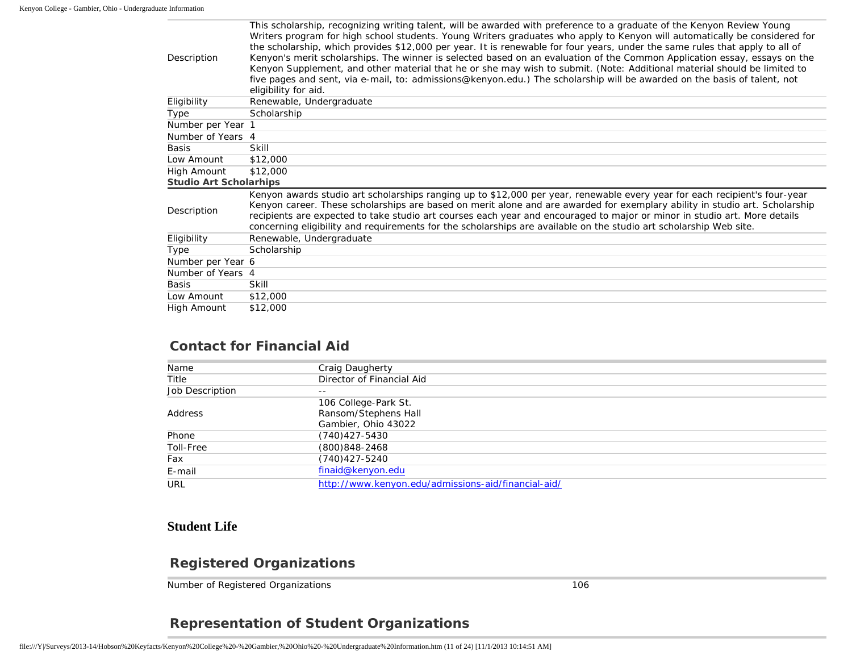| Description                   | THIS SCHOLARD IN FUCULITY WHING LATERS, WILL BE AWALGED WILL DI CICLETICE TO A GLAGUATE OF THE NETTVOLL NEVIEW TOUNG<br>Writers program for high school students. Young Writers graduates who apply to Kenyon will automatically be considered for<br>the scholarship, which provides \$12,000 per year. It is renewable for four years, under the same rules that apply to all of<br>Kenyon's merit scholarships. The winner is selected based on an evaluation of the Common Application essay, essays on the<br>Kenyon Supplement, and other material that he or she may wish to submit. (Note: Additional material should be limited to<br>five pages and sent, via e-mail, to: admissions@kenyon.edu.) The scholarship will be awarded on the basis of talent, not<br>eligibility for aid. |
|-------------------------------|-------------------------------------------------------------------------------------------------------------------------------------------------------------------------------------------------------------------------------------------------------------------------------------------------------------------------------------------------------------------------------------------------------------------------------------------------------------------------------------------------------------------------------------------------------------------------------------------------------------------------------------------------------------------------------------------------------------------------------------------------------------------------------------------------|
| Eligibility                   | Renewable, Undergraduate                                                                                                                                                                                                                                                                                                                                                                                                                                                                                                                                                                                                                                                                                                                                                                        |
| Type                          | Scholarship                                                                                                                                                                                                                                                                                                                                                                                                                                                                                                                                                                                                                                                                                                                                                                                     |
| Number per Year 1             |                                                                                                                                                                                                                                                                                                                                                                                                                                                                                                                                                                                                                                                                                                                                                                                                 |
| Number of Years 4             |                                                                                                                                                                                                                                                                                                                                                                                                                                                                                                                                                                                                                                                                                                                                                                                                 |
| Basis                         | Skill                                                                                                                                                                                                                                                                                                                                                                                                                                                                                                                                                                                                                                                                                                                                                                                           |
| Low Amount                    | \$12,000                                                                                                                                                                                                                                                                                                                                                                                                                                                                                                                                                                                                                                                                                                                                                                                        |
| High Amount                   | \$12,000                                                                                                                                                                                                                                                                                                                                                                                                                                                                                                                                                                                                                                                                                                                                                                                        |
| <b>Studio Art Scholarhips</b> |                                                                                                                                                                                                                                                                                                                                                                                                                                                                                                                                                                                                                                                                                                                                                                                                 |
| Description                   | Kenyon awards studio art scholarships ranging up to \$12,000 per year, renewable every year for each recipient's four-year<br>Kenyon career. These scholarships are based on merit alone and are awarded for exemplary ability in studio art. Scholarship<br>recipients are expected to take studio art courses each year and encouraged to major or minor in studio art. More details<br>concerning eligibility and requirements for the scholarships are available on the studio art scholarship Web site.                                                                                                                                                                                                                                                                                    |
| Eligibility                   | Renewable, Undergraduate                                                                                                                                                                                                                                                                                                                                                                                                                                                                                                                                                                                                                                                                                                                                                                        |
| Type                          | Scholarship                                                                                                                                                                                                                                                                                                                                                                                                                                                                                                                                                                                                                                                                                                                                                                                     |
| Number per Year 6             |                                                                                                                                                                                                                                                                                                                                                                                                                                                                                                                                                                                                                                                                                                                                                                                                 |
| Number of Years 4             |                                                                                                                                                                                                                                                                                                                                                                                                                                                                                                                                                                                                                                                                                                                                                                                                 |
| <b>Basis</b>                  | <b>Skill</b>                                                                                                                                                                                                                                                                                                                                                                                                                                                                                                                                                                                                                                                                                                                                                                                    |
| Low Amount                    | \$12,000                                                                                                                                                                                                                                                                                                                                                                                                                                                                                                                                                                                                                                                                                                                                                                                        |
| High Amount                   | \$12,000                                                                                                                                                                                                                                                                                                                                                                                                                                                                                                                                                                                                                                                                                                                                                                                        |

This scholarship, recognizing writing talent, will be awarded with preference

## **Contact for Financial Aid**

| Name            | Craig Daugherty                                     |
|-----------------|-----------------------------------------------------|
| Title           | Director of Financial Aid                           |
| Job Description | $- -$                                               |
|                 | 106 College-Park St.                                |
| Address         | Ransom/Stephens Hall                                |
|                 | Gambier, Ohio 43022                                 |
| Phone           | (740) 427-5430                                      |
| Toll-Free       | (800) 848-2468                                      |
| Fax             | (740)427-5240                                       |
| E-mail          | finaid@kenyon.edu                                   |
| URL             | http://www.kenyon.edu/admissions-aid/financial-aid/ |

### **Student Life**

#### **Registered Organizations**

Number of Registered Organizations 106

#### **Representation of Student Organizations**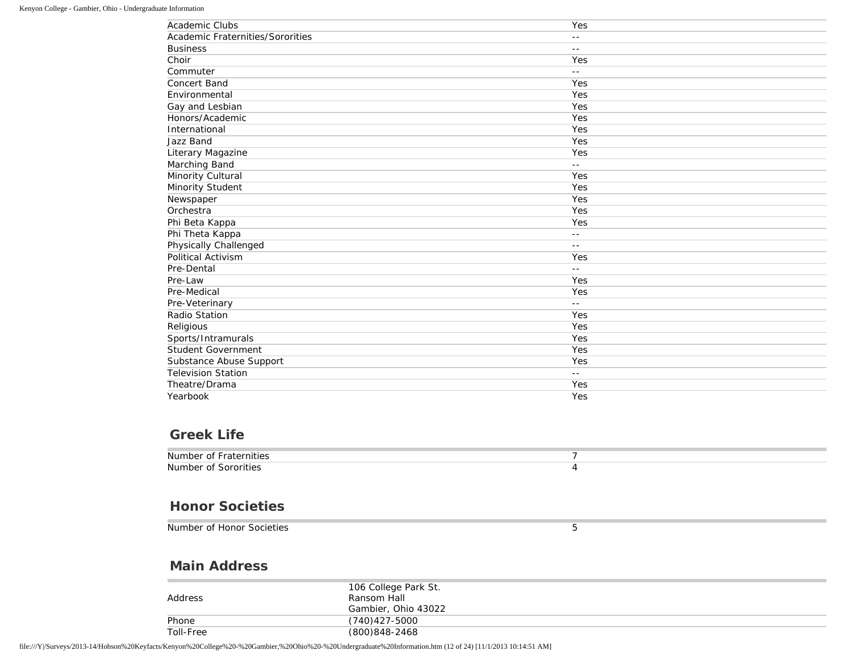| Academic Clubs                   | Yes                        |
|----------------------------------|----------------------------|
| Academic Fraternities/Sororities | $ -$                       |
| <b>Business</b>                  | $- -$                      |
| Choir                            | Yes                        |
| Commuter                         | $\overline{\phantom{a}}$ . |
| <b>Concert Band</b>              | Yes                        |
| Environmental                    | Yes                        |
| Gay and Lesbian                  | Yes                        |
| Honors/Academic                  | Yes                        |
| International                    | Yes                        |
| Jazz Band                        | Yes                        |
| Literary Magazine                | Yes                        |
| Marching Band                    | $\overline{\phantom{a}}$ . |
| Minority Cultural                | Yes                        |
| Minority Student                 | Yes                        |
| Newspaper                        | Yes                        |
| Orchestra                        | Yes                        |
| Phi Beta Kappa                   | Yes                        |
| Phi Theta Kappa                  | $\overline{\phantom{a}}$ . |
| Physically Challenged            | $ -$                       |
| Political Activism               | Yes                        |
| Pre-Dental                       | $\overline{\phantom{a}}$ . |
| Pre-Law                          | Yes                        |
| Pre-Medical                      | Yes                        |
| Pre-Veterinary                   | $- -$                      |
| Radio Station                    | Yes                        |
| Religious                        | Yes                        |
| Sports/Intramurals               | Yes                        |
| <b>Student Government</b>        | Yes                        |
| Substance Abuse Support          | Yes                        |
| <b>Television Station</b>        | $- -$                      |
| Theatre/Drama                    | Yes                        |
| Yearbook                         | Yes                        |

### **Greek Life**

| Number<br>.<br><b>Fraternities</b><br>ΩŤ |  |
|------------------------------------------|--|
| Number<br>sororities<br>ΩT               |  |

#### **Honor Societies**

Number of Honor Societies **5** 

#### **Main Address**

| Address   | 106 College Park St.<br>Ransom Hall<br>Gambier, Ohio 43022 |
|-----------|------------------------------------------------------------|
| Phone     | (740)427-5000                                              |
| Toll-Free | (800)848-2468                                              |

file:///Y|/Surveys/2013-14/Hobson%20Keyfacts/Kenyon%20College%20-%20Gambier,%20Ohio%20-%20Undergraduate%20Information.htm (12 of 24) [11/1/2013 10:14:51 AM]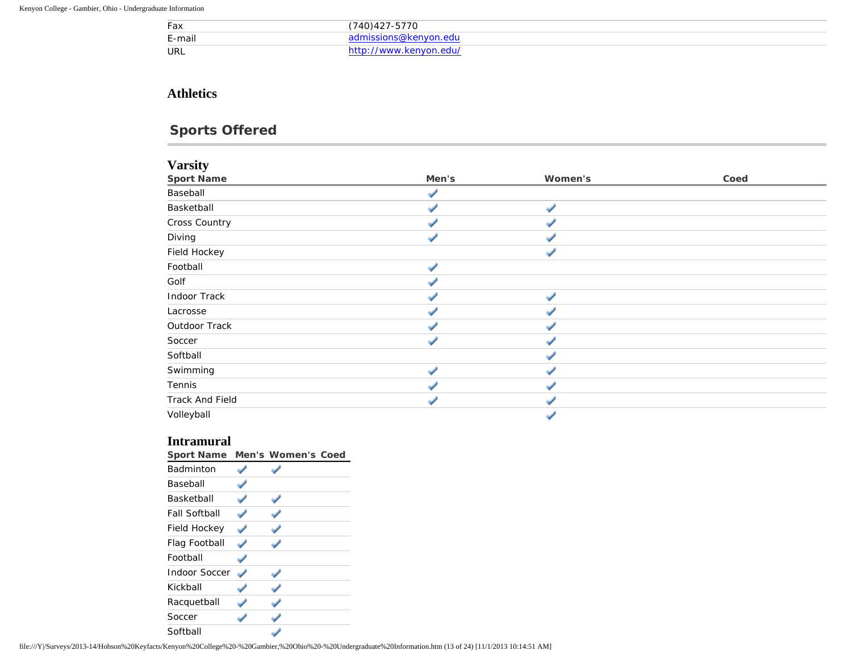| Fax        | $(740)427 - 5770$      |
|------------|------------------------|
| E-mail     | missions@kenvon.edu    |
| <b>URL</b> | http://www.kenyon.edu/ |

#### **Athletics**

# **Sports Offered**

#### **Varsity**

| Men's | Women's | Coed |
|-------|---------|------|
|       |         |      |
|       |         |      |
|       |         |      |
|       |         |      |
|       |         |      |
|       |         |      |
|       |         |      |
|       |         |      |
|       |         |      |
|       |         |      |
|       |         |      |
|       |         |      |
|       |         |      |
|       |         |      |
|       |         |      |
|       |         |      |
|       |         |      |

#### **Intramural**

| <b>Sport Name</b>    | <b>Men's Women's Coed</b> |
|----------------------|---------------------------|
| <b>Badminton</b>     |                           |
| <b>Baseball</b>      |                           |
| Basketball           |                           |
| <b>Fall Softball</b> |                           |
| Field Hockey         |                           |
| Flag Football        |                           |
| Football             |                           |
| Indoor Soccer        |                           |
| Kickball             |                           |
| Racquetball          |                           |
| Soccer               |                           |
| Softball             |                           |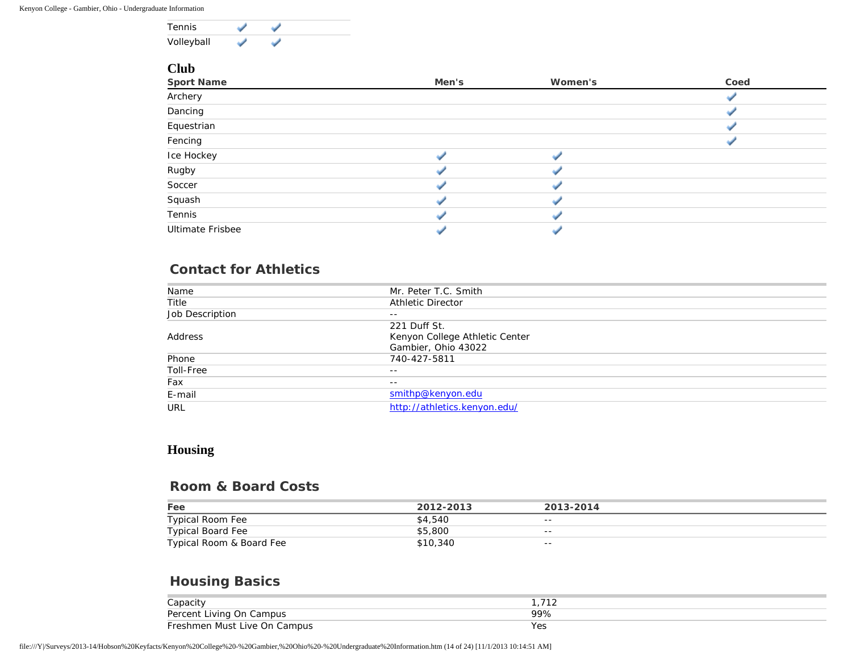

#### **Club**

| <b>Sport Name</b>       | Men's | Women's | Coed |
|-------------------------|-------|---------|------|
| Archery                 |       |         |      |
| Dancing                 |       |         |      |
| Equestrian              |       |         |      |
| Fencing                 |       |         |      |
| Ice Hockey              |       |         |      |
| Rugby                   |       |         |      |
| Soccer                  |       |         |      |
| Squash                  |       |         |      |
| Tennis                  |       |         |      |
| <b>Ultimate Frisbee</b> |       |         |      |

#### **Contact for Athletics**

| Name            | Mr. Peter T.C. Smith           |
|-----------------|--------------------------------|
| Title           | <b>Athletic Director</b>       |
| Job Description | $- -$                          |
|                 | 221 Duff St.                   |
| Address         | Kenyon College Athletic Center |
|                 | Gambier, Ohio 43022            |
| Phone           | 740-427-5811                   |
| Toll-Free       | $- -$                          |
| Fax             | $- -$                          |
| E-mail          | smithp@kenyon.edu              |
| URL             | http://athletics.kenyon.edu/   |

#### **Housing**

#### **Room & Board Costs**

| Fee                      | 2012-2013 | 2013-2014 |
|--------------------------|-----------|-----------|
| Typical Room Fee         | \$4,540   | $- -$     |
| Typical Board Fee        | \$5,800   | $- -$     |
| Typical Room & Board Fee | \$10,340  | $- -$     |

## **Housing Basics**

| Capacitv                     |     |
|------------------------------|-----|
| Percent Living On Campus     |     |
| Freshmen Must Live On Campus | Yes |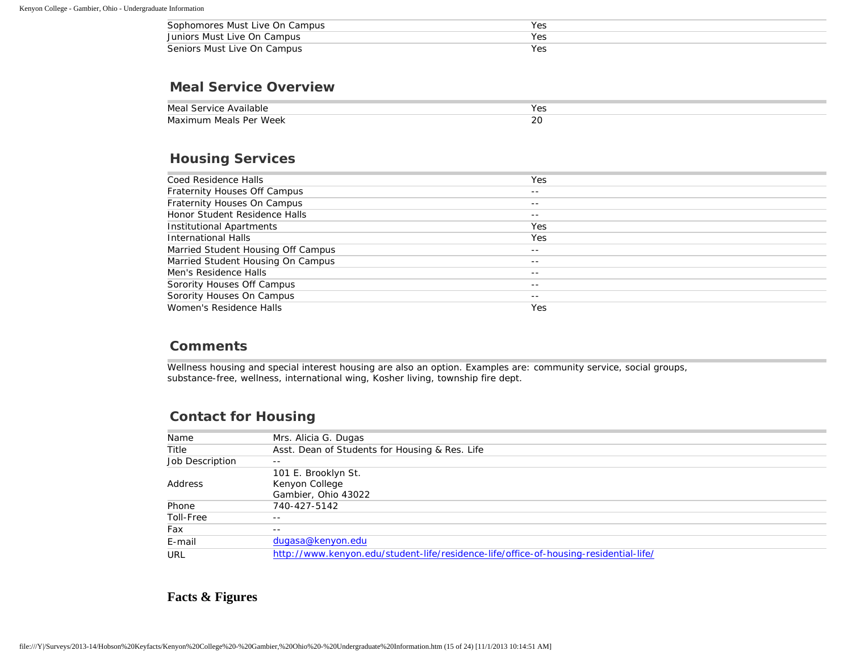| Sophomores Must Live On Campus | Yes |
|--------------------------------|-----|
| Juniors Must Live On Campus    | Yes |
| Seniors Must Live On Campus    | Yes |

#### **Meal Service Overview**

| Meal Service Available | Yes       |
|------------------------|-----------|
| Maximum Meals Per Week | n r<br>ZU |

#### **Housing Services**

| Coed Residence Halls               | Yes   |
|------------------------------------|-------|
| Fraternity Houses Off Campus       | $- -$ |
| Fraternity Houses On Campus        | $- -$ |
| Honor Student Residence Halls      | $- -$ |
| Institutional Apartments           | Yes   |
| International Halls                | Yes   |
| Married Student Housing Off Campus | $- -$ |
| Married Student Housing On Campus  | $- -$ |
| Men's Residence Halls              | $- -$ |
| Sorority Houses Off Campus         | $- -$ |
| Sorority Houses On Campus          | $- -$ |
| Women's Residence Halls            | Yes   |
|                                    |       |

#### **Comments**

Wellness housing and special interest housing are also an option. Examples are: community service, social groups, substance-free, wellness, international wing, Kosher living, township fire dept.

#### **Contact for Housing**

| Name            | Mrs. Alicia G. Dugas                                                                  |
|-----------------|---------------------------------------------------------------------------------------|
| Title           | Asst. Dean of Students for Housing & Res. Life                                        |
| Job Description | $ -$                                                                                  |
|                 | 101 E. Brooklyn St.                                                                   |
| Address         | Kenyon College                                                                        |
|                 | Gambier, Ohio 43022                                                                   |
| Phone           | 740-427-5142                                                                          |
| Toll-Free       | $- -$                                                                                 |
| Fax             | $- -$                                                                                 |
| E-mail          | dugasa@kenyon.edu                                                                     |
| URL             | http://www.kenyon.edu/student-life/residence-life/office-of-housing-residential-life/ |

#### **Facts & Figures**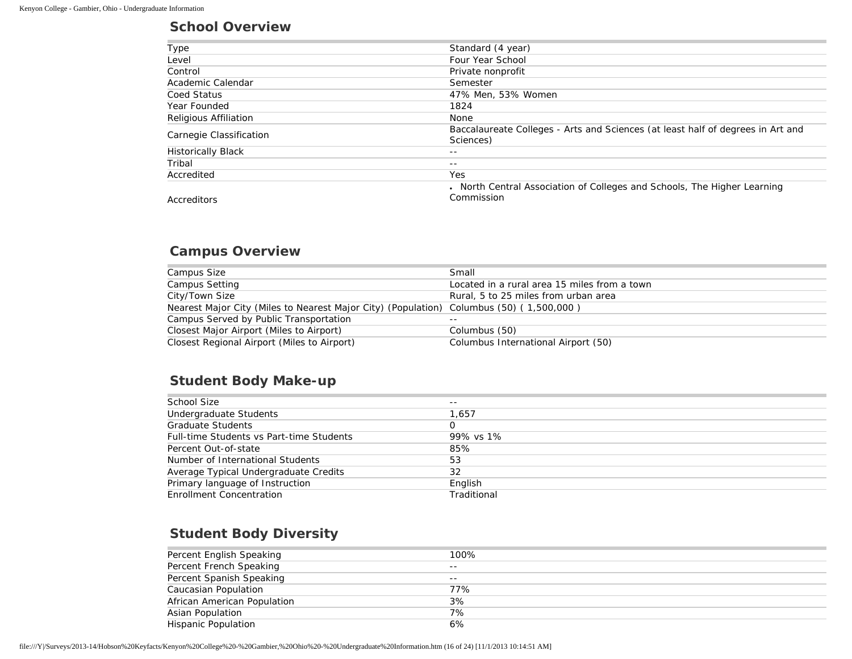#### **School Overview**

| Type                      | Standard (4 year)                                                               |  |  |
|---------------------------|---------------------------------------------------------------------------------|--|--|
| Level                     | Four Year School                                                                |  |  |
| Control                   | Private nonprofit                                                               |  |  |
| Academic Calendar         | Semester                                                                        |  |  |
| Coed Status               | 47% Men, 53% Women                                                              |  |  |
| Year Founded              | 1824                                                                            |  |  |
| Religious Affiliation     | None                                                                            |  |  |
| Carnegie Classification   | Baccalaureate Colleges - Arts and Sciences (at least half of degrees in Art and |  |  |
|                           | Sciences)                                                                       |  |  |
| <b>Historically Black</b> | $- -$                                                                           |  |  |
| Tribal                    | $- -$                                                                           |  |  |
| Accredited                | <b>Yes</b>                                                                      |  |  |
|                           | . North Central Association of Colleges and Schools, The Higher Learning        |  |  |
| Accreditors               | Commission                                                                      |  |  |

#### **Campus Overview**

| Campus Size                                                                             | Small                                        |
|-----------------------------------------------------------------------------------------|----------------------------------------------|
| <b>Campus Setting</b>                                                                   | Located in a rural area 15 miles from a town |
| City/Town Size                                                                          | Rural, 5 to 25 miles from urban area         |
| Nearest Major City (Miles to Nearest Major City) (Population) Columbus (50) (1,500,000) |                                              |
| Campus Served by Public Transportation                                                  | $ -$                                         |
| Closest Major Airport (Miles to Airport)                                                | Columbus (50)                                |
| Closest Regional Airport (Miles to Airport)                                             | Columbus International Airport (50)          |

## **Student Body Make-up**

| School Size                              | $- -$       |
|------------------------------------------|-------------|
| Undergraduate Students                   | 1.657       |
| <b>Graduate Students</b>                 |             |
| Full-time Students vs Part-time Students | 99% vs 1%   |
| Percent Out-of-state                     | 85%         |
| Number of International Students         | 53          |
| Average Typical Undergraduate Credits    | 32          |
| Primary language of Instruction          | English     |
| Enrollment Concentration                 | Traditional |

## **Student Body Diversity**

| Percent English Speaking    | 100%  |
|-----------------------------|-------|
| Percent French Speaking     | $- -$ |
| Percent Spanish Speaking    | $- -$ |
| Caucasian Population        | 77%   |
| African American Population | 3%    |
| <b>Asian Population</b>     | 7%    |
| <b>Hispanic Population</b>  | 6%    |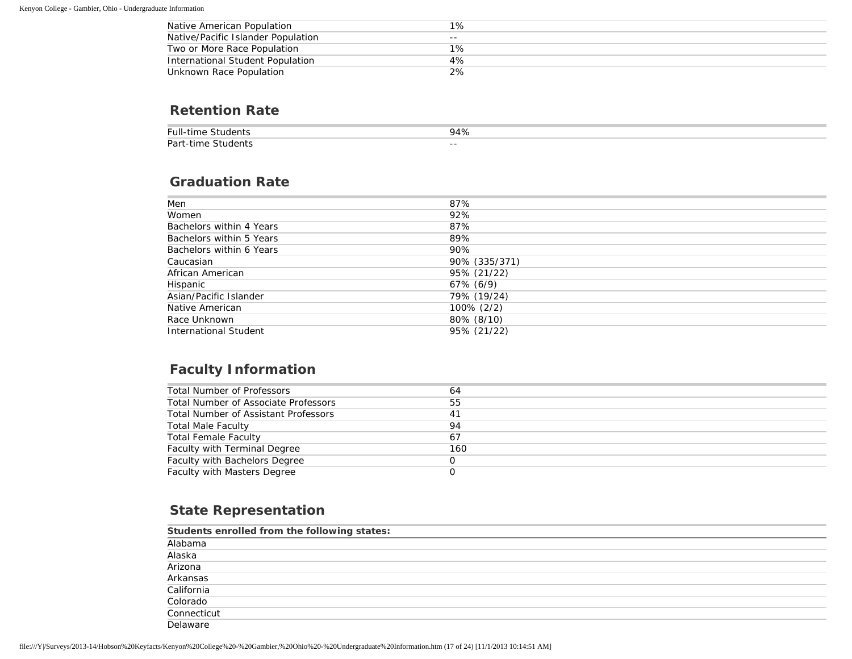| Native American Population         | 1%    |
|------------------------------------|-------|
| Native/Pacific Islander Population | $- -$ |
| Two or More Race Population        | $1\%$ |
| International Student Population   | 4%    |
| Unknown Race Population            | 2%    |

#### **Retention Rate**

| Full-<br>. IN≙r               | $\overline{ }$ |
|-------------------------------|----------------|
| Part<br>.tirv<br>$\sim$ TI IC | $- -$          |

#### **Graduation Rate**

| Men                          | 87%           |
|------------------------------|---------------|
| Women                        | 92%           |
| Bachelors within 4 Years     | 87%           |
| Bachelors within 5 Years     | 89%           |
| Bachelors within 6 Years     | 90%           |
| Caucasian                    | 90% (335/371) |
| African American             | 95% (21/22)   |
| Hispanic                     | 67% (6/9)     |
| Asian/Pacific Islander       | 79% (19/24)   |
| Native American              | 100% (2/2)    |
| Race Unknown                 | 80% (8/10)    |
| <b>International Student</b> | 95% (21/22)   |

# **Faculty Information**

| Total Number of Professors           | 64  |
|--------------------------------------|-----|
| Total Number of Associate Professors | 55  |
| Total Number of Assistant Professors | 41  |
| <b>Total Male Faculty</b>            | 94  |
| <b>Total Female Faculty</b>          | 67  |
| Faculty with Terminal Degree         | 160 |
| Faculty with Bachelors Degree        |     |
| Faculty with Masters Degree          |     |
|                                      |     |

## **State Representation**

| Students enrolled from the following states: |  |  |
|----------------------------------------------|--|--|
| Alabama                                      |  |  |
| Alaska                                       |  |  |
| Arizona                                      |  |  |
| Arkansas                                     |  |  |
| California                                   |  |  |
| Colorado                                     |  |  |
| Connecticut                                  |  |  |
| Delaware                                     |  |  |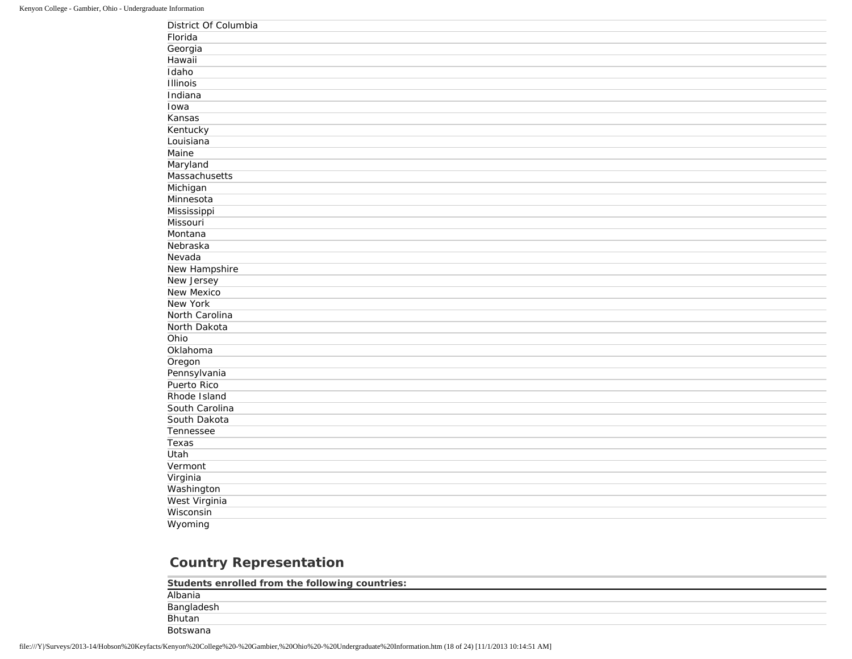| District Of Columbia |
|----------------------|
| Florida              |
| Georgia              |
| Hawaii               |
| Idaho                |
| <b>Illinois</b>      |
| Indiana              |
| Iowa                 |
| Kansas               |
| Kentucky             |
| Louisiana            |
| Maine                |
| Maryland             |
| Massachusetts        |
| Michigan             |
| Minnesota            |
| Mississippi          |
| Missouri             |
| Montana              |
| Nebraska             |
| Nevada               |
| New Hampshire        |
| New Jersey           |
| <b>New Mexico</b>    |
| <b>New York</b>      |
| North Carolina       |
| North Dakota         |
| Ohio                 |
| Oklahoma             |
| Oregon               |
| Pennsylvania         |
| Puerto Rico          |
| Rhode Island         |
| South Carolina       |
| South Dakota         |
| Tennessee            |
| Texas                |
| Utah                 |
| Vermont              |
| Virginia             |
| Washington           |
| West Virginia        |
| Wisconsin            |
| Wyoming              |

# **Country Representation**

| Students enrolled from the following countries: |  |
|-------------------------------------------------|--|
| Albania                                         |  |
| Bangladesh                                      |  |
| Bhutan                                          |  |
| <b>Botswana</b>                                 |  |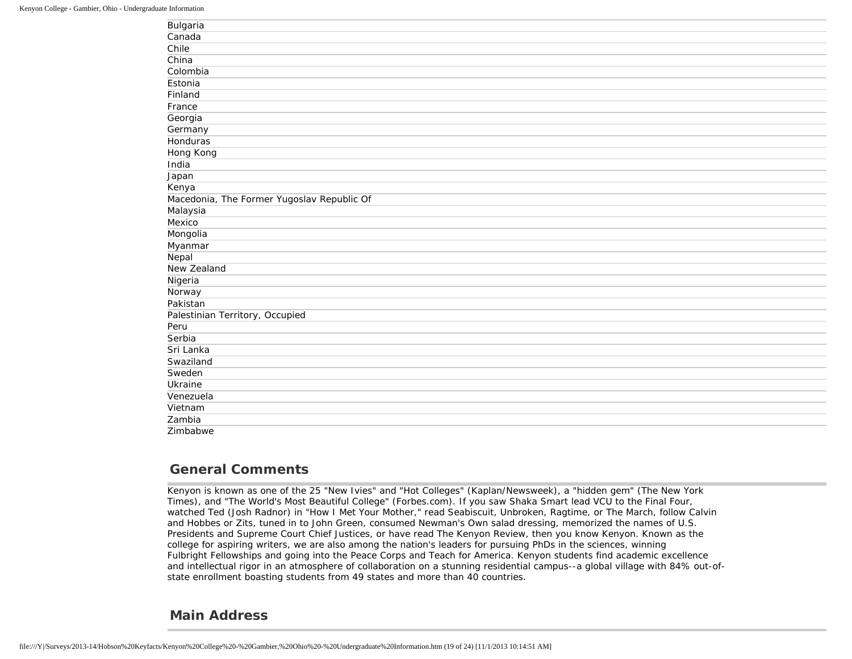| Bulgaria                                   |
|--------------------------------------------|
| Canada                                     |
| Chile                                      |
| China                                      |
| Colombia                                   |
| Estonia                                    |
| Finland                                    |
| France                                     |
| Georgia                                    |
| Germany                                    |
| <b>Honduras</b>                            |
| Hong Kong                                  |
| India                                      |
| Japan                                      |
| Kenya                                      |
| Macedonia, The Former Yugoslav Republic Of |
| Malaysia                                   |
| Mexico                                     |
| Mongolia                                   |
| Myanmar                                    |
| Nepal                                      |
| New Zealand                                |
| Nigeria                                    |
| Norway                                     |
| Pakistan                                   |
| Palestinian Territory, Occupied            |
| Peru                                       |
| Serbia                                     |
| Sri Lanka                                  |
| Swaziland                                  |
| Sweden                                     |
| Ukraine                                    |
| Venezuela                                  |
| Vietnam                                    |
| Zambia                                     |
| Zimbabwe                                   |

#### **General Comments**

Kenyon is known as one of the 25 "New Ivies" and "Hot Colleges" (Kaplan/Newsweek), a "hidden gem" (The New York Times), and "The World's Most Beautiful College" (Forbes.com). If you saw Shaka Smart lead VCU to the Final Four, watched Ted (Josh Radnor) in "How I Met Your Mother," read Seabiscuit, Unbroken, Ragtime, or The March, follow Calvin and Hobbes or Zits, tuned in to John Green, consumed Newman's Own salad dressing, memorized the names of U.S. Presidents and Supreme Court Chief Justices, or have read The Kenyon Review, then you know Kenyon. Known as the college for aspiring writers, we are also among the nation's leaders for pursuing PhDs in the sciences, winning Fulbright Fellowships and going into the Peace Corps and Teach for America. Kenyon students find academic excellence and intellectual rigor in an atmosphere of collaboration on a stunning residential campus--a global village with 84% out-ofstate enrollment boasting students from 49 states and more than 40 countries.

#### **Main Address**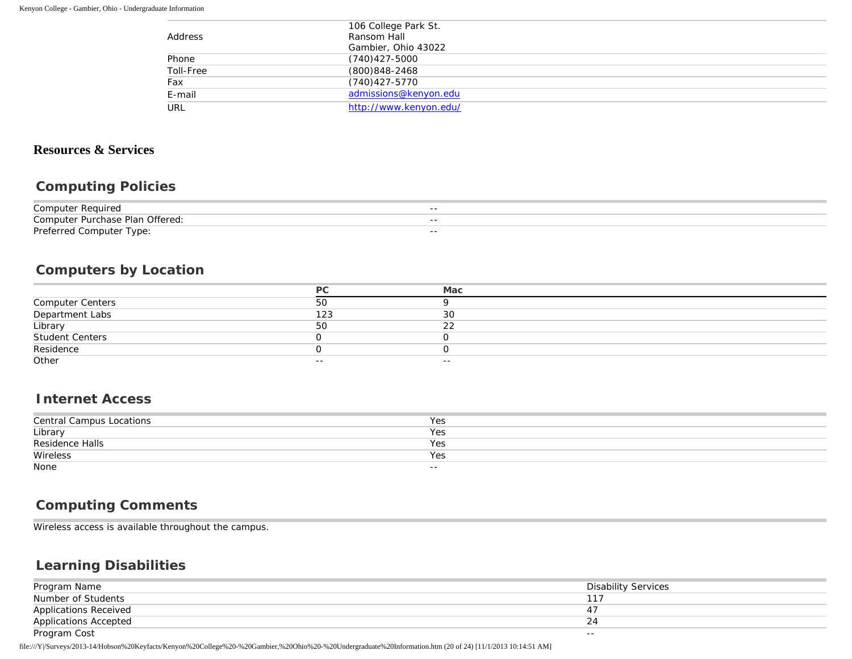|           | 106 College Park St.   |  |
|-----------|------------------------|--|
| Address   | Ransom Hall            |  |
|           | Gambier, Ohio 43022    |  |
| Phone     | $(740)427 - 5000$      |  |
| Toll-Free | (800) 848-2468         |  |
| Fax       | $(740)427 - 5770$      |  |
| E-mail    | admissions@kenyon.edu  |  |
| URL       | http://www.kenyon.edu/ |  |

## **Resources & Services**

#### **Computing Policies**

| Computer<br>Reauired                       | $- -$ |
|--------------------------------------------|-------|
| Offered:<br>Computer<br>Plan<br>: Purchase | $- -$ |
| Proforrod<br>Computer Type:                | $- -$ |

## **Computers by Location**

|                              | DC    | Mac   |
|------------------------------|-------|-------|
| Computer Centers             | 50    |       |
| Department Labs              | 123   | 30    |
| Library                      | 50    | າາ    |
|                              |       |       |
| Student Centers<br>Residence |       |       |
| Other                        | $- -$ | $- -$ |

#### **Internet Access**

| Central Campus Locations | Yes   |
|--------------------------|-------|
| Library                  | Yes   |
| Residence Halls          | Yes   |
| Wireless                 | Yes   |
| None                     | $- -$ |

#### **Computing Comments**

Wireless access is available throughout the campus.

#### **Learning Disabilities**

| Program Name                 | Disability Services |
|------------------------------|---------------------|
| Number of Students           |                     |
| <b>Applications Received</b> |                     |
| <b>Applications Accepted</b> |                     |
| Program Cost                 | $- -$               |

file:///Y|/Surveys/2013-14/Hobson%20Keyfacts/Kenyon%20College%20-%20Gambier,%20Ohio%20-%20Undergraduate%20Information.htm (20 of 24) [11/1/2013 10:14:51 AM]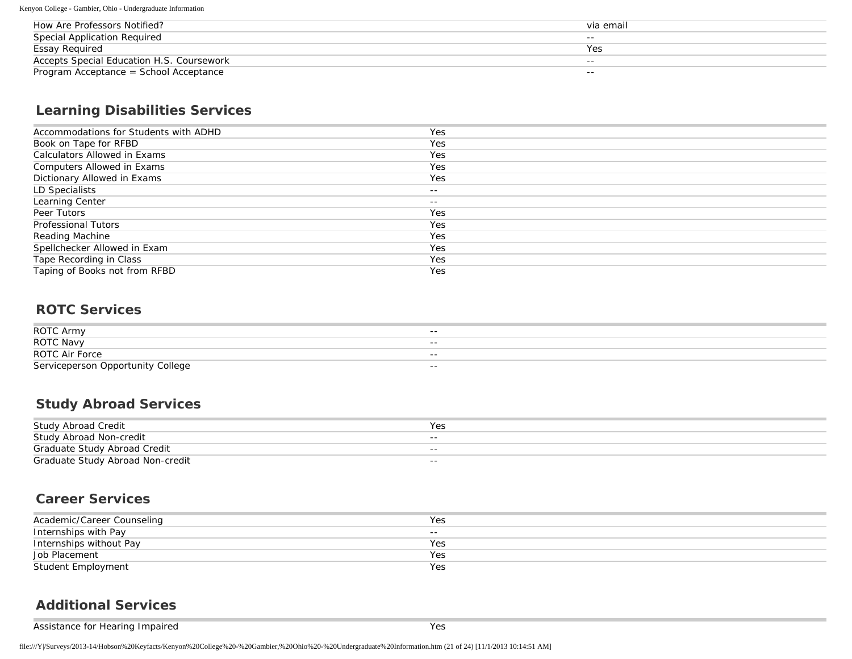Kenyon College - Gambier, Ohio - Undergraduate Information

| How Are Professors Notified?              | via email |
|-------------------------------------------|-----------|
| Special Application Required              | $- -$     |
| Essay Reguired                            | Yes       |
| Accepts Special Education H.S. Coursework | $- -$     |
| Program Acceptance = School Acceptance    | $- -$     |

## **Learning Disabilities Services**

| Accommodations for Students with ADHD | Yes   |
|---------------------------------------|-------|
| Book on Tape for RFBD                 | Yes   |
| Calculators Allowed in Exams          | Yes   |
| Computers Allowed in Exams            | Yes   |
| Dictionary Allowed in Exams           | Yes   |
| LD Specialists                        | $- -$ |
| Learning Center                       | $- -$ |
| Peer Tutors                           | Yes   |
| <b>Professional Tutors</b>            | Yes   |
| Reading Machine                       | Yes   |
| Spellchecker Allowed in Exam          | Yes   |
| Tape Recording in Class               | Yes   |
| Taping of Books not from RFBD         | Yes   |

#### **ROTC Services**

| ROTC Army                         | $- -$ |
|-----------------------------------|-------|
|                                   |       |
|                                   |       |
| <b>ROTC Navy</b>                  | $- -$ |
|                                   |       |
| <b>ROTC Air Force</b>             | $- -$ |
|                                   |       |
| Serviceperson Opportunity College | $- -$ |

#### **Study Abroad Services**

| Study Abroad Credit              | Yes   |
|----------------------------------|-------|
| Study Abroad Non-credit          | $- -$ |
| Graduate Study Abroad Credit     | $- -$ |
| Graduate Study Abroad Non-credit | $- -$ |

#### **Career Services**

| Academic/Career Counseling | Yes   |
|----------------------------|-------|
| Internships with Pay       | $- -$ |
| Internships without Pay    | Yes   |
| Job Placement              | Yes   |
| Student Employment         | Yes   |

## **Additional Services**

Assistance for Hearing Impaired Yes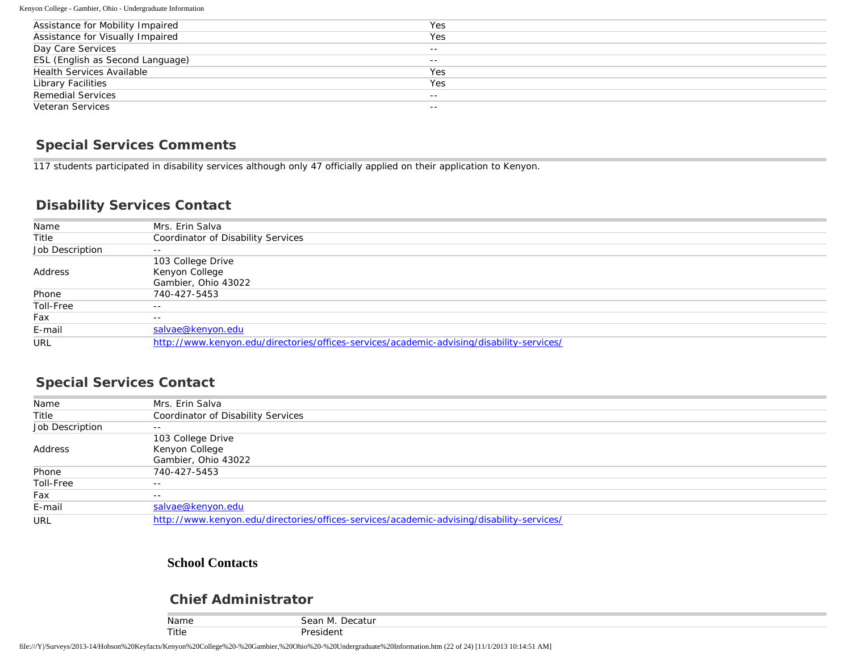Kenyon College - Gambier, Ohio - Undergraduate Information

| Assistance for Mobility Impaired | Yes   |
|----------------------------------|-------|
| Assistance for Visually Impaired | Yes   |
| Day Care Services                | $- -$ |
| ESL (English as Second Language) | $- -$ |
| <b>Health Services Available</b> | Yes   |
| Library Facilities               | Yes   |
| <b>Remedial Services</b>         | $- -$ |
| Veteran Services                 | $- -$ |

#### **Special Services Comments**

117 students participated in disability services although only 47 officially applied on their application to Kenyon.

#### **Disability Services Contact**

| Name            | Mrs. Erin Salva                                                                           |
|-----------------|-------------------------------------------------------------------------------------------|
| Title           | Coordinator of Disability Services                                                        |
| Job Description | $- -$                                                                                     |
|                 | 103 College Drive                                                                         |
| Address         | Kenyon College                                                                            |
|                 | Gambier, Ohio 43022                                                                       |
| Phone           | 740-427-5453                                                                              |
| Toll-Free       | $- -$                                                                                     |
| Fax             | $- -$                                                                                     |
| E-mail          | salvae@kenyon.edu                                                                         |
| URL             | http://www.kenyon.edu/directories/offices-services/academic-advising/disability-services/ |

#### **Special Services Contact**

| Name            | Mrs. Erin Salva                                                                           |
|-----------------|-------------------------------------------------------------------------------------------|
| Title           | Coordinator of Disability Services                                                        |
| Job Description | $- -$                                                                                     |
|                 | 103 College Drive                                                                         |
| Address         | Kenyon College                                                                            |
|                 | Gambier, Ohio 43022                                                                       |
| Phone           | 740-427-5453                                                                              |
| Toll-Free       | $- -$                                                                                     |
| Fax             | $- -$                                                                                     |
| E-mail          | salvae@kenyon.edu                                                                         |
| URL             | http://www.kenyon.edu/directories/offices-services/academic-advising/disability-services/ |

#### **School Contacts**

#### **Chief Administrator**

| . .<br>Name | $\sim$<br>Decatur<br><b>IVI</b><br>י וו <i>ס</i> טע. |
|-------------|------------------------------------------------------|
| Title       | $1 \cap r$                                           |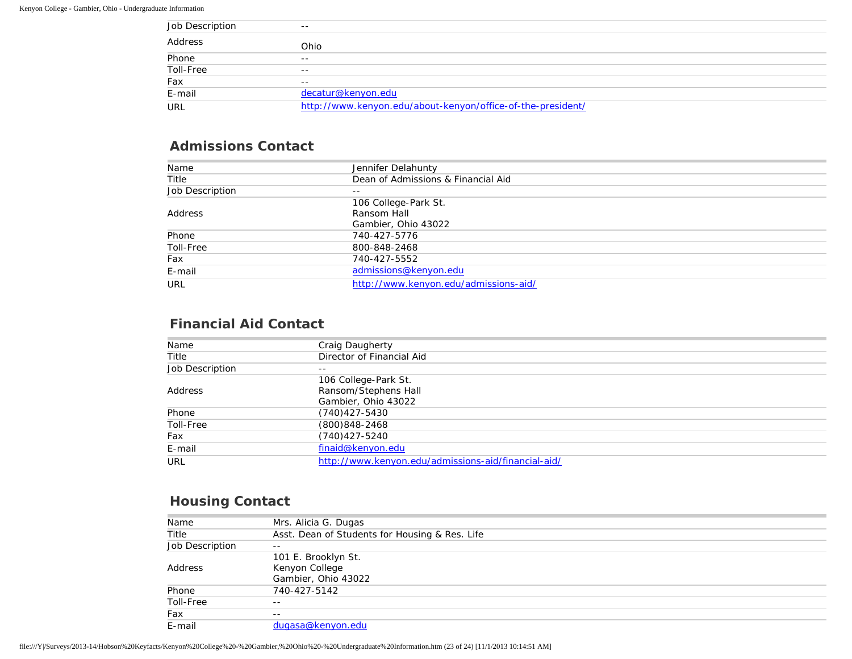| Job Description | $- -$                                                       |
|-----------------|-------------------------------------------------------------|
| Address         | Ohio                                                        |
| Phone           | $- -$                                                       |
| Toll-Free       | $- -$                                                       |
| Fax             | $- -$                                                       |
| E-mail          | decatur@kenyon.edu                                          |
| URL             | http://www.kenyon.edu/about-kenyon/office-of-the-president/ |

#### **Admissions Contact**

| Name            | Jennifer Delahunty                    |
|-----------------|---------------------------------------|
| Title           | Dean of Admissions & Financial Aid    |
| Job Description | $- -$                                 |
|                 | 106 College-Park St.                  |
| Address         | Ransom Hall                           |
|                 | Gambier, Ohio 43022                   |
| Phone           | 740-427-5776                          |
| Toll-Free       | 800-848-2468                          |
| Fax             | 740-427-5552                          |
| E-mail          | admissions@kenyon.edu                 |
| URL             | http://www.kenyon.edu/admissions-aid/ |

#### **Financial Aid Contact**

| Name            | Craig Daugherty                                     |
|-----------------|-----------------------------------------------------|
| Title           | Director of Financial Aid                           |
| Job Description | $- -$                                               |
|                 | 106 College-Park St.                                |
| Address         | Ransom/Stephens Hall                                |
|                 | Gambier, Ohio 43022                                 |
| Phone           | $(740)427 - 5430$                                   |
| Toll-Free       | (800)848-2468                                       |
| Fax             | $(740)427 - 5240$                                   |
| E-mail          | finaid@kenyon.edu                                   |
| URL             | http://www.kenyon.edu/admissions-aid/financial-aid/ |

## **Housing Contact**

| Name            | Mrs. Alicia G. Dugas                           |
|-----------------|------------------------------------------------|
| Title           | Asst. Dean of Students for Housing & Res. Life |
| Job Description | $- -$                                          |
|                 | 101 E. Brooklyn St.                            |
| Address         | Kenyon College                                 |
|                 | Gambier, Ohio 43022                            |
| Phone           | 740-427-5142                                   |
| Toll-Free       | $- -$                                          |
| Fax             | $- -$                                          |
| E-mail          | dugasa@kenyon.edu                              |